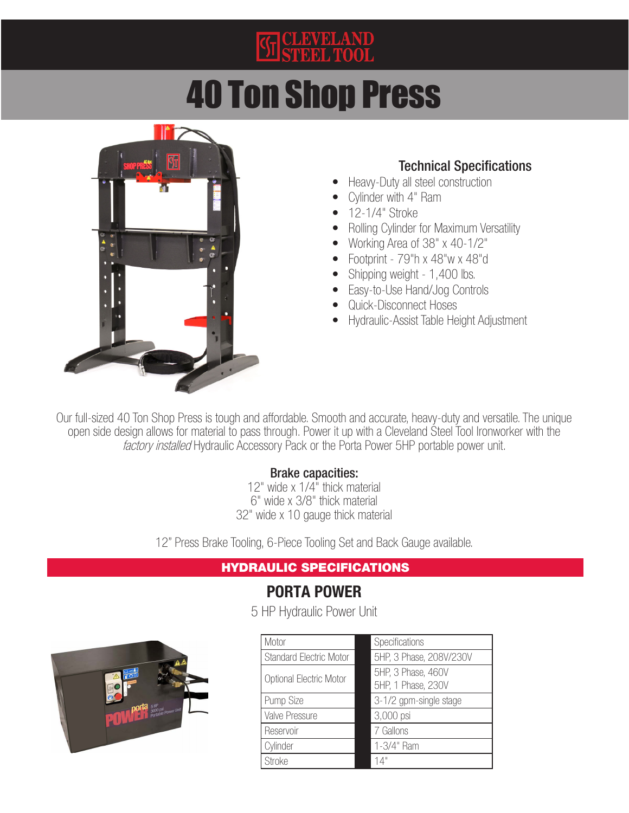# **KE CLEVELAND**<br>STEEL TOOL

# 40 Ton Shop Press



#### Technical Specifications

- Heavy-Duty all steel construction
- Cylinder with 4" Ram
- 12-1/4" Stroke
- Rolling Cylinder for Maximum Versatility
- Working Area of 38" x 40-1/2"
- Footprint 79"h x 48"w x 48"d
- Shipping weight 1,400 lbs.
- Easy-to-Use Hand/Jog Controls
- Quick-Disconnect Hoses
- Hydraulic-Assist Table Height Adjustment

Our full-sized 40 Ton Shop Press is tough and affordable. Smooth and accurate, heavy-duty and versatile. The unique open side design allows for material to pass through. Power it up with a Cleveland Steel Tool Ironworker with the factory installed Hydraulic Accessory Pack or the Porta Power 5HP portable power unit.

#### Brake capacities:

12" wide x 1/4" thick material 6" wide x 3/8" thick material 32" wide x 10 gauge thick material

12" Press Brake Tooling, 6-Piece Tooling Set and Back Gauge available.

#### HYDRAULIC SPECIFICATIONS

### PORTA POWER

5 HP Hydraulic Power Unit



| Motor                          | Specifications                           |
|--------------------------------|------------------------------------------|
| <b>Standard Electric Motor</b> | 5HP, 3 Phase, 208V/230V                  |
| Optional Electric Motor        | 5HP, 3 Phase, 460V<br>5HP, 1 Phase, 230V |
| Pump Size                      | 3-1/2 gpm-single stage                   |
| Valve Pressure                 | 3,000 psi                                |
| Reservoir                      | 7 Gallons                                |
| Cylinder                       | 1-3/4" Ram                               |
| <b>Stroke</b>                  | 14"                                      |